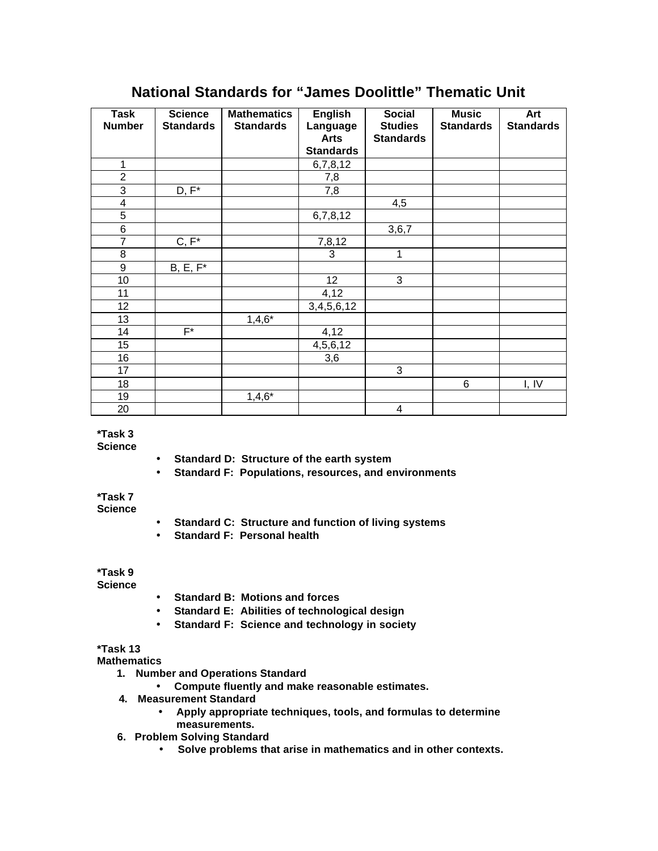| <b>Task</b>      | <b>Science</b>   | <b>Mathematics</b> | <b>English</b>   | <b>Social</b>           | <b>Music</b>     | Art              |
|------------------|------------------|--------------------|------------------|-------------------------|------------------|------------------|
| <b>Number</b>    | <b>Standards</b> | <b>Standards</b>   | Language         | <b>Studies</b>          | <b>Standards</b> | <b>Standards</b> |
|                  |                  |                    | <b>Arts</b>      | <b>Standards</b>        |                  |                  |
|                  |                  |                    | <b>Standards</b> |                         |                  |                  |
| $\mathbf{1}$     |                  |                    | 6,7,8,12         |                         |                  |                  |
| $\overline{2}$   |                  |                    | 7,8              |                         |                  |                  |
| $\mathbf{3}$     | $D, F^*$         |                    | 7,8              |                         |                  |                  |
| 4                |                  |                    |                  | 4,5                     |                  |                  |
| $\mathbf 5$      |                  |                    | 6,7,8,12         |                         |                  |                  |
| $\,6$            |                  |                    |                  | 3,6,7                   |                  |                  |
| $\overline{7}$   | $C, F^*$         |                    | 7,8,12           |                         |                  |                  |
| 8                |                  |                    | 3                | 1                       |                  |                  |
| $\boldsymbol{9}$ | $B, E, F^*$      |                    |                  |                         |                  |                  |
| 10               |                  |                    | 12               | 3                       |                  |                  |
| 11               |                  |                    | 4,12             |                         |                  |                  |
| 12               |                  |                    | 3,4,5,6,12       |                         |                  |                  |
| 13               |                  | $1,4,6*$           |                  |                         |                  |                  |
| 14               | $F^*$            |                    | 4,12             |                         |                  |                  |
| 15               |                  |                    | 4,5,6,12         |                         |                  |                  |
| 16               |                  |                    | 3,6              |                         |                  |                  |
| 17               |                  |                    |                  | 3                       |                  |                  |
| 18               |                  |                    |                  |                         | 6                | I, IV            |
| 19               |                  | $1,4,6*$           |                  |                         |                  |                  |
| 20               |                  |                    |                  | $\overline{\mathbf{4}}$ |                  |                  |

## **National Standards for "James Doolittle" Thematic Unit**

## **\*Task 3**

**Science**

- **Standard D: Structure of the earth system**
- **Standard F: Populations, resources, and environments**

## **\*Task 7**

- **Science**
- **Standard C: Structure and function of living systems**
- **Standard F: Personal health**

## **\*Task 9**

**Science**

- **Standard B: Motions and forces**
- **Standard E: Abilities of technological design**
- **Standard F: Science and technology in society**

**\*Task 13**

**Mathematics** 

- **1. Number and Operations Standard**
	- **Compute fluently and make reasonable estimates.**
- **4. Measurement Standard**
	- **Apply appropriate techniques, tools, and formulas to determine measurements.**
- **6. Problem Solving Standard**
	- **Solve problems that arise in mathematics and in other contexts.**